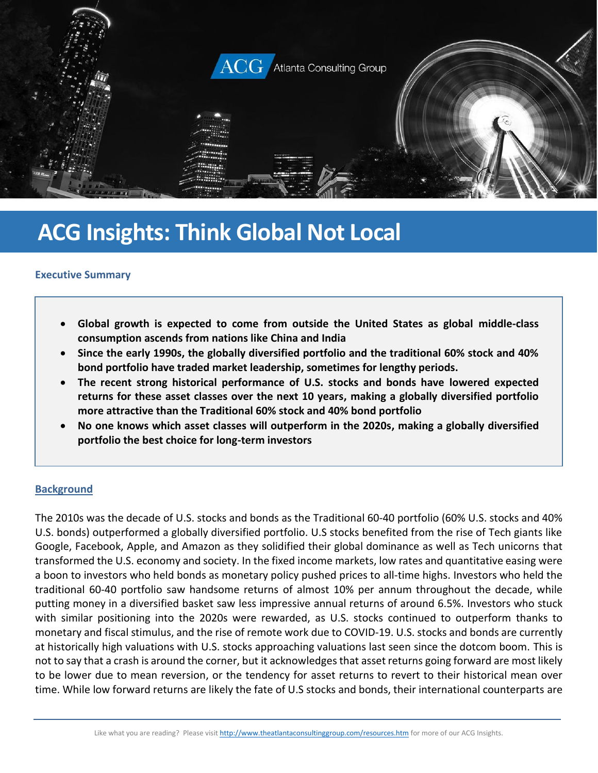

# **ACG Insights: Think Global Not Local**

#### **Executive Summary**

- **Global growth is expected to come from outside the United States as global middle-class consumption ascends from nations like China and India**
- **Since the early 1990s, the globally diversified portfolio and the traditional 60% stock and 40% bond portfolio have traded market leadership, sometimes for lengthy periods.**
- **The recent strong historical performance of U.S. stocks and bonds have lowered expected returns for these asset classes over the next 10 years, making a globally diversified portfolio more attractive than the Traditional 60% stock and 40% bond portfolio**
- **No one knows which asset classes will outperform in the 2020s, making a globally diversified portfolio the best choice for long-term investors**

#### **Background**

The 2010s was the decade of U.S. stocks and bonds as the Traditional 60-40 portfolio (60% U.S. stocks and 40% U.S. bonds) outperformed a globally diversified portfolio. U.S stocks benefited from the rise of Tech giants like Google, Facebook, Apple, and Amazon as they solidified their global dominance as well as Tech unicorns that transformed the U.S. economy and society. In the fixed income markets, low rates and quantitative easing were a boon to investors who held bonds as monetary policy pushed prices to all-time highs. Investors who held the traditional 60-40 portfolio saw handsome returns of almost 10% per annum throughout the decade, while putting money in a diversified basket saw less impressive annual returns of around 6.5%. Investors who stuck with similar positioning into the 2020s were rewarded, as U.S. stocks continued to outperform thanks to monetary and fiscal stimulus, and the rise of remote work due to COVID-19. U.S. stocks and bonds are currently at historically high valuations with U.S. stocks approaching valuations last seen since the dotcom boom. This is not to say that a crash is around the corner, but it acknowledges that asset returns going forward are most likely to be lower due to mean reversion, or the tendency for asset returns to revert to their historical mean over time. While low forward returns are likely the fate of U.S stocks and bonds, their international counterparts are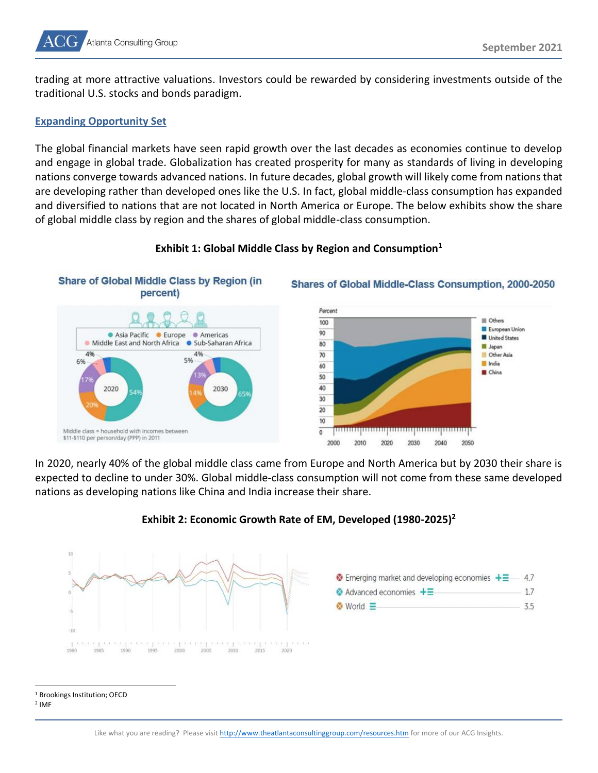

trading at more attractive valuations. Investors could be rewarded by considering investments outside of the traditional U.S. stocks and bonds paradigm.

#### **Expanding Opportunity Set**

The global financial markets have seen rapid growth over the last decades as economies continue to develop and engage in global trade. Globalization has created prosperity for many as standards of living in developing nations converge towards advanced nations. In future decades, global growth will likely come from nations that are developing rather than developed ones like the U.S. In fact, global middle-class consumption has expanded and diversified to nations that are not located in North America or Europe. The below exhibits show the share of global middle class by region and the shares of global middle-class consumption.



#### **Exhibit 1: Global Middle Class by Region and Consumption<sup>1</sup>**



Shares of Global Middle-Class Consumption, 2000-2050

In 2020, nearly 40% of the global middle class came from Europe and North America but by 2030 their share is expected to decline to under 30%. Global middle-class consumption will not come from these same developed nations as developing nations like China and India increase their share.



## **Exhibit 2: Economic Growth Rate of EM, Developed (1980-2025)<sup>2</sup>**

<sup>&</sup>lt;sup>1</sup> Brookings Institution; OECD

<sup>2</sup> IMF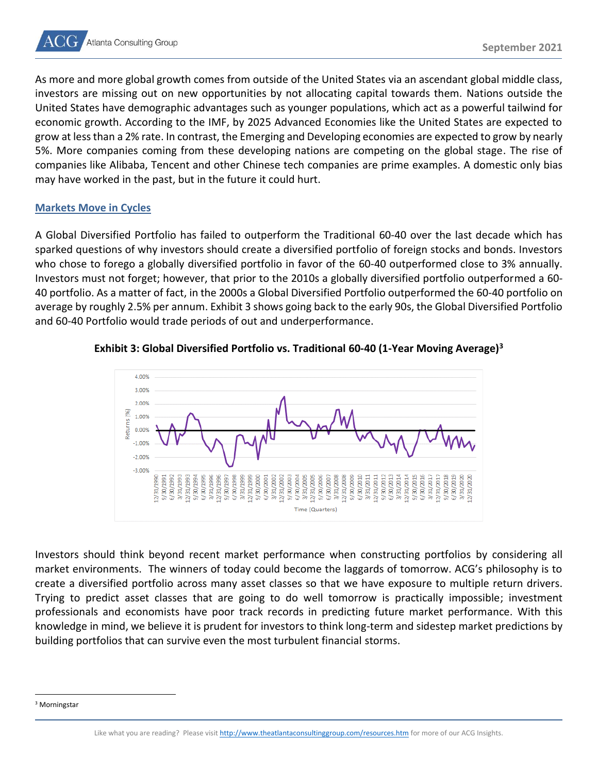As more and more global growth comes from outside of the United States via an ascendant global middle class, investors are missing out on new opportunities by not allocating capital towards them. Nations outside the United States have demographic advantages such as younger populations, which act as a powerful tailwind for economic growth. According to the IMF, by 2025 Advanced Economies like the United States are expected to grow at less than a 2% rate. In contrast, the Emerging and Developing economies are expected to grow by nearly 5%. More companies coming from these developing nations are competing on the global stage. The rise of companies like Alibaba, Tencent and other Chinese tech companies are prime examples. A domestic only bias may have worked in the past, but in the future it could hurt.

# **Markets Move in Cycles**

A Global Diversified Portfolio has failed to outperform the Traditional 60-40 over the last decade which has sparked questions of why investors should create a diversified portfolio of foreign stocks and bonds. Investors who chose to forego a globally diversified portfolio in favor of the 60-40 outperformed close to 3% annually. Investors must not forget; however, that prior to the 2010s a globally diversified portfolio outperformed a 60- 40 portfolio. As a matter of fact, in the 2000s a Global Diversified Portfolio outperformed the 60-40 portfolio on average by roughly 2.5% per annum. Exhibit 3 shows going back to the early 90s, the Global Diversified Portfolio and 60-40 Portfolio would trade periods of out and underperformance.



## **Exhibit 3: Global Diversified Portfolio vs. Traditional 60-40 (1-Year Moving Average)<sup>3</sup>**

Investors should think beyond recent market performance when constructing portfolios by considering all market environments. The winners of today could become the laggards of tomorrow. ACG's philosophy is to create a diversified portfolio across many asset classes so that we have exposure to multiple return drivers. Trying to predict asset classes that are going to do well tomorrow is practically impossible; investment professionals and economists have poor track records in predicting future market performance. With this knowledge in mind, we believe it is prudent for investors to think long-term and sidestep market predictions by building portfolios that can survive even the most turbulent financial storms.

<sup>3</sup> Morningstar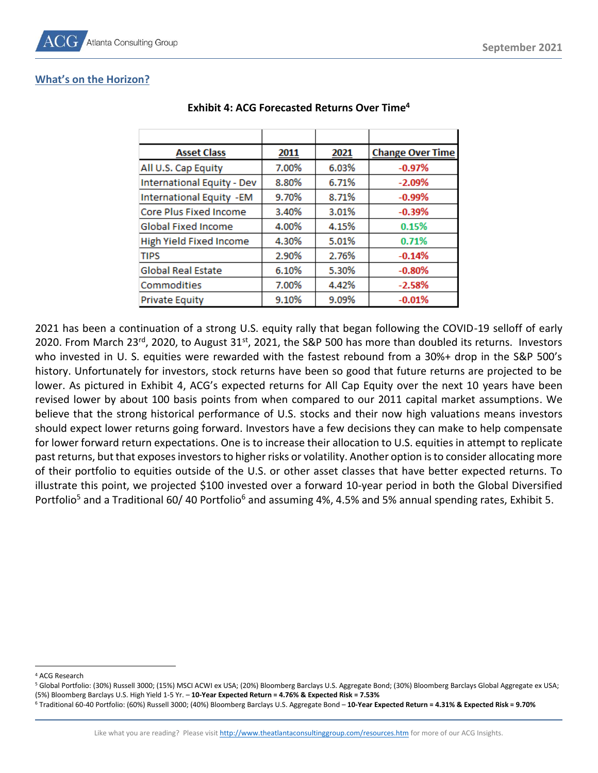# **What's on the Horizon?**

| <b>Asset Class</b>                | 2011  | 2021  | <b>Change Over Time</b> |
|-----------------------------------|-------|-------|-------------------------|
| All U.S. Cap Equity               | 7.00% | 6.03% | $-0.97%$                |
| <b>International Equity - Dev</b> | 8.80% | 6.71% | $-2.09%$                |
| <b>International Equity - EM</b>  | 9.70% | 8.71% | $-0.99%$                |
| Core Plus Fixed Income            | 3.40% | 3.01% | $-0.39%$                |
| <b>Global Fixed Income</b>        | 4.00% | 4.15% | 0.15%                   |
| High Yield Fixed Income           | 4.30% | 5.01% | 0.71%                   |
| <b>TIPS</b>                       | 2.90% | 2.76% | $-0.14%$                |
| <b>Global Real Estate</b>         | 6.10% | 5.30% | $-0.80%$                |
| Commodities                       | 7.00% | 4.42% | $-2.58%$                |
| <b>Private Equity</b>             | 9.10% | 9.09% | $-0.01%$                |

## **Exhibit 4: ACG Forecasted Returns Over Time<sup>4</sup>**

2021 has been a continuation of a strong U.S. equity rally that began following the COVID-19 selloff of early 2020. From March 23<sup>rd</sup>, 2020, to August 31<sup>st</sup>, 2021, the S&P 500 has more than doubled its returns. Investors who invested in U. S. equities were rewarded with the fastest rebound from a 30%+ drop in the S&P 500's history. Unfortunately for investors, stock returns have been so good that future returns are projected to be lower. As pictured in Exhibit 4, ACG's expected returns for All Cap Equity over the next 10 years have been revised lower by about 100 basis points from when compared to our 2011 capital market assumptions. We believe that the strong historical performance of U.S. stocks and their now high valuations means investors should expect lower returns going forward. Investors have a few decisions they can make to help compensate for lower forward return expectations. One is to increase their allocation to U.S. equities in attempt to replicate past returns, but that exposes investors to higher risks or volatility. Another option is to consider allocating more of their portfolio to equities outside of the U.S. or other asset classes that have better expected returns. To illustrate this point, we projected \$100 invested over a forward 10-year period in both the Global Diversified Portfolio<sup>5</sup> and a Traditional 60/40 Portfolio<sup>6</sup> and assuming 4%, 4.5% and 5% annual spending rates, Exhibit 5.

<sup>4</sup> ACG Research

<sup>5</sup> Global Portfolio: (30%) Russell 3000; (15%) MSCI ACWI ex USA; (20%) Bloomberg Barclays U.S. Aggregate Bond; (30%) Bloomberg Barclays Global Aggregate ex USA; (5%) Bloomberg Barclays U.S. High Yield 1-5 Yr. – **10-Year Expected Return = 4.76% & Expected Risk = 7.53%**

<sup>6</sup> Traditional 60-40 Portfolio: (60%) Russell 3000; (40%) Bloomberg Barclays U.S. Aggregate Bond – **10-Year Expected Return = 4.31% & Expected Risk = 9.70%**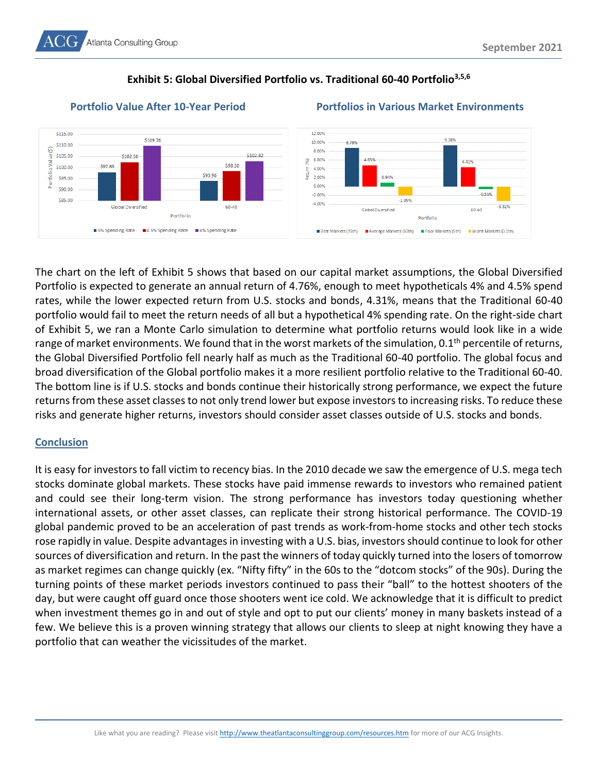# **Exhibit 5: Global Diversified Portfolio vs. Traditional 60-40 Portfolio3,5,6**



# **Portfolio Value After 10-Year Period Portfolios in Various Market Environments**



The chart on the left of Exhibit 5 shows that based on our capital market assumptions, the Global Diversified Portfolio is expected to generate an annual return of 4.76%, enough to meet hypotheticals 4% and 4.5% spend rates, while the lower expected return from U.S. stocks and bonds, 4.31%, means that the Traditional 60-40 portfolio would fail to meet the return needs of all but a hypothetical 4% spending rate. On the right-side chart of Exhibit 5, we ran a Monte Carlo simulation to determine what portfolio returns would look like in a wide range of market environments. We found that in the worst markets of the simulation, 0.1<sup>th</sup> percentile of returns, the Global Diversified Portfolio fell nearly half as much as the Traditional 60-40 portfolio. The global focus and broad diversification of the Global portfolio makes it a more resilient portfolio relative to the Traditional 60-40. The bottom line is if U.S. stocks and bonds continue their historically strong performance, we expect the future returns from these asset classes to not only trend lower but expose investors to increasing risks. To reduce these risks and generate higher returns, investors should consider asset classes outside of U.S. stocks and bonds.

# **Conclusion**

It is easy for investors to fall victim to recency bias. In the 2010 decade we saw the emergence of U.S. mega tech stocks dominate global markets. These stocks have paid immense rewards to investors who remained patient and could see their long-term vision. The strong performance has investors today questioning whether international assets, or other asset classes, can replicate their strong historical performance. The COVID-19 global pandemic proved to be an acceleration of past trends as work-from-home stocks and other tech stocks rose rapidly in value. Despite advantages in investing with a U.S. bias, investors should continue to look for other sources of diversification and return. In the past the winners of today quickly turned into the losers of tomorrow as market regimes can change quickly (ex. "Nifty fifty" in the 60s to the "dotcom stocks" of the 90s). During the turning points of these market periods investors continued to pass their "ball" to the hottest shooters of the day, but were caught off guard once those shooters went ice cold. We acknowledge that it is difficult to predict when investment themes go in and out of style and opt to put our clients' money in many baskets instead of a few. We believe this is a proven winning strategy that allows our clients to sleep at night knowing they have a portfolio that can weather the vicissitudes of the market.